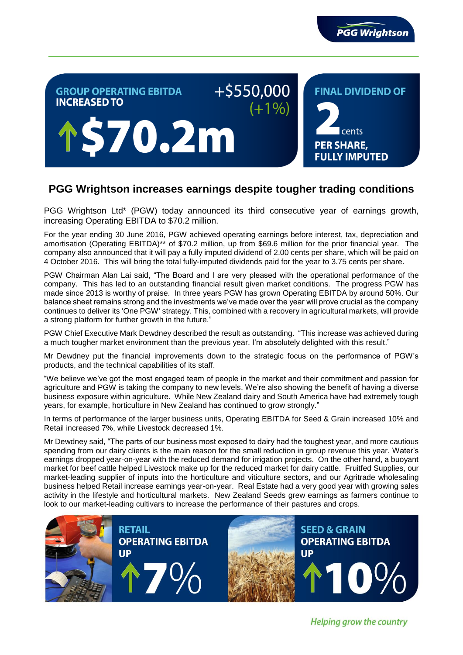

## +\$550,000 **GROUP OPERATING EBITDA FINAL DIVIDEND OF INCREASED TO**  $(+1%)$ **\$70.2m** cents **PER SHARE, FULLY IMPUTED**

# **PGG Wrightson increases earnings despite tougher trading conditions**

PGG Wrightson Ltd\* (PGW) today announced its third consecutive year of earnings growth, increasing Operating EBITDA to \$70.2 million.

For the year ending 30 June 2016, PGW achieved operating earnings before interest, tax, depreciation and amortisation (Operating EBITDA)\*\* of \$70.2 million, up from \$69.6 million for the prior financial year. The company also announced that it will pay a fully imputed dividend of 2.00 cents per share, which will be paid on 4 October 2016. This will bring the total fully-imputed dividends paid for the year to 3.75 cents per share.

PGW Chairman Alan Lai said, "The Board and I are very pleased with the operational performance of the company. This has led to an outstanding financial result given market conditions. The progress PGW has made since 2013 is worthy of praise. In three years PGW has grown Operating EBITDA by around 50%. Our balance sheet remains strong and the investments we've made over the year will prove crucial as the company continues to deliver its 'One PGW' strategy. This, combined with a recovery in agricultural markets, will provide a strong platform for further growth in the future."

PGW Chief Executive Mark Dewdney described the result as outstanding. "This increase was achieved during a much tougher market environment than the previous year. I'm absolutely delighted with this result."

Mr Dewdney put the financial improvements down to the strategic focus on the performance of PGW's products, and the technical capabilities of its staff.

"We believe we've got the most engaged team of people in the market and their commitment and passion for agriculture and PGW is taking the company to new levels. We're also showing the benefit of having a diverse business exposure within agriculture. While New Zealand dairy and South America have had extremely tough years, for example, horticulture in New Zealand has continued to grow strongly."

In terms of performance of the larger business units, Operating EBITDA for Seed & Grain increased 10% and Retail increased 7%, while Livestock decreased 1%.

Mr Dewdney said, "The parts of our business most exposed to dairy had the toughest year, and more cautious spending from our dairy clients is the main reason for the small reduction in group revenue this year. Water's earnings dropped year-on-year with the reduced demand for irrigation projects. On the other hand, a buoyant market for beef cattle helped Livestock make up for the reduced market for dairy cattle. Fruitfed Supplies, our market-leading supplier of inputs into the horticulture and viticulture sectors, and our Agritrade wholesaling business helped Retail increase earnings year-on-year. Real Estate had a very good year with growing sales activity in the lifestyle and horticultural markets. New Zealand Seeds grew earnings as farmers continue to look to our market-leading cultivars to increase the performance of their pastures and crops.



**Helping grow the country**